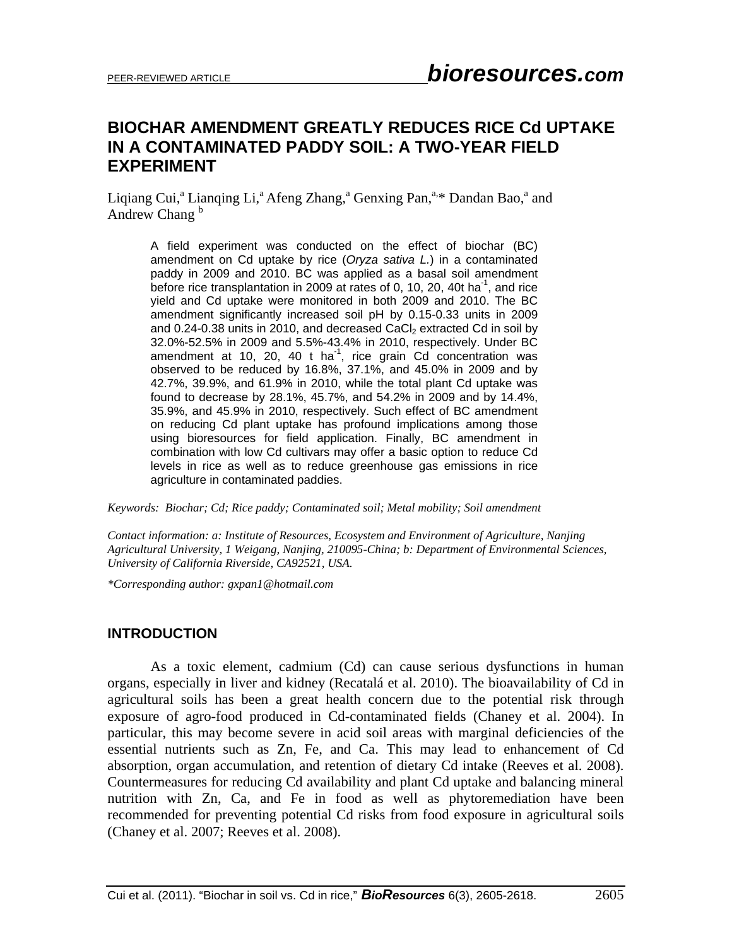# **BIOCHAR AMENDMENT GREATLY REDUCES RICE Cd UPTAKE IN A CONTAMINATED PADDY SOIL: A TWO-YEAR FIELD EXPERIMENT**

Liqiang Cui,<sup>a</sup> Lianqing Li,<sup>a</sup> Afeng Zhang,<sup>a</sup> Genxing Pan,<sup>a,\*</sup> Dandan Bao,<sup>a</sup> and Andrew Chang<sup>b</sup>

A field experiment was conducted on the effect of biochar (BC) amendment on Cd uptake by rice (*Oryza sativa L.*) in a contaminated paddy in 2009 and 2010. BC was applied as a basal soil amendment before rice transplantation in 2009 at rates of 0, 10, 20, 40t ha<sup>-1</sup>, and rice yield and Cd uptake were monitored in both 2009 and 2010. The BC amendment significantly increased soil pH by 0.15-0.33 units in 2009 and  $0.24$ -0.38 units in 2010, and decreased CaCl<sub>2</sub> extracted Cd in soil by 32.0%-52.5% in 2009 and 5.5%-43.4% in 2010, respectively. Under BC amendment at 10, 20, 40 t ha<sup>-1</sup>, rice grain Cd concentration was observed to be reduced by 16.8%, 37.1%, and 45.0% in 2009 and by 42.7%, 39.9%, and 61.9% in 2010, while the total plant Cd uptake was found to decrease by 28.1%, 45.7%, and 54.2% in 2009 and by 14.4%, 35.9%, and 45.9% in 2010, respectively. Such effect of BC amendment on reducing Cd plant uptake has profound implications among those using bioresources for field application. Finally, BC amendment in combination with low Cd cultivars may offer a basic option to reduce Cd levels in rice as well as to reduce greenhouse gas emissions in rice agriculture in contaminated paddies.

*Keywords: Biochar; Cd; Rice paddy; Contaminated soil; Metal mobility; Soil amendment* 

*Contact information: a: Institute of Resources, Ecosystem and Environment of Agriculture, Nanjing Agricultural University, 1 Weigang, Nanjing, 210095-China; b: Department of Environmental Sciences, University of California Riverside, CA92521, USA.* 

*\*Corresponding author: gxpan1@hotmail.com* 

#### **INTRODUCTION**

As a toxic element, cadmium (Cd) can cause serious dysfunctions in human organs, especially in liver and kidney (Recatalá et al. 2010). The bioavailability of Cd in agricultural soils has been a great health concern due to the potential risk through exposure of agro-food produced in Cd-contaminated fields (Chaney et al. 2004). In particular, this may become severe in acid soil areas with marginal deficiencies of the essential nutrients such as Zn, Fe, and Ca. This may lead to enhancement of Cd absorption, organ accumulation, and retention of dietary Cd intake (Reeves et al. 2008). Countermeasures for reducing Cd availability and plant Cd uptake and balancing mineral nutrition with Zn, Ca, and Fe in food as well as phytoremediation have been recommended for preventing potential Cd risks from food exposure in agricultural soils (Chaney et al. 2007; Reeves et al. 2008).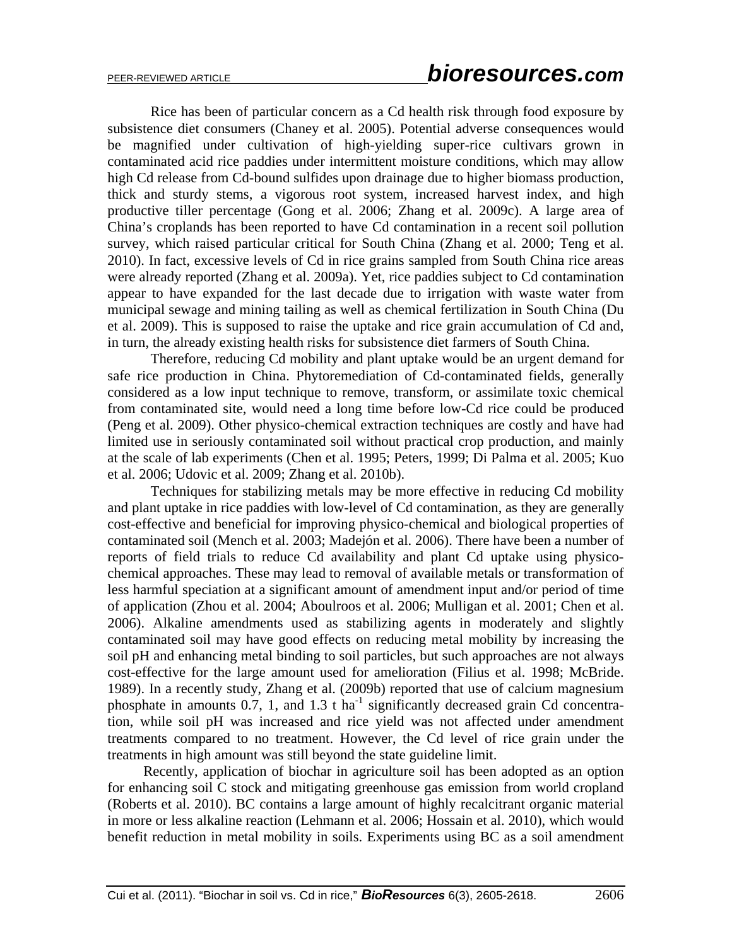Rice has been of particular concern as a Cd health risk through food exposure by subsistence diet consumers (Chaney et al. 2005). Potential adverse consequences would be magnified under cultivation of high-yielding super-rice cultivars grown in contaminated acid rice paddies under intermittent moisture conditions, which may allow high Cd release from Cd-bound sulfides upon drainage due to higher biomass production, thick and sturdy stems, a vigorous root system, increased harvest index, and high productive tiller percentage (Gong et al. 2006; Zhang et al. 2009c). A large area of China's croplands has been reported to have Cd contamination in a recent soil pollution survey, which raised particular critical for South China (Zhang et al. 2000; Teng et al. 2010). In fact, excessive levels of Cd in rice grains sampled from South China rice areas were already reported (Zhang et al. 2009a). Yet, rice paddies subject to Cd contamination appear to have expanded for the last decade due to irrigation with waste water from municipal sewage and mining tailing as well as chemical fertilization in South China (Du et al. 2009). This is supposed to raise the uptake and rice grain accumulation of Cd and, in turn, the already existing health risks for subsistence diet farmers of South China.

Therefore, reducing Cd mobility and plant uptake would be an urgent demand for safe rice production in China. Phytoremediation of Cd-contaminated fields, generally considered as a low input technique to remove, transform, or assimilate toxic chemical from contaminated site, would need a long time before low-Cd rice could be produced (Peng et al. 2009). Other physico-chemical extraction techniques are costly and have had limited use in seriously contaminated soil without practical crop production, and mainly at the scale of lab experiments (Chen et al. 1995; Peters, 1999; Di Palma et al. 2005; Kuo et al. 2006; Udovic et al. 2009; Zhang et al. 2010b).

Techniques for stabilizing metals may be more effective in reducing Cd mobility and plant uptake in rice paddies with low-level of Cd contamination, as they are generally cost-effective and beneficial for improving physico-chemical and biological properties of contaminated soil (Mench et al. 2003; Madejón et al. 2006). There have been a number of reports of field trials to reduce Cd availability and plant Cd uptake using physicochemical approaches. These may lead to removal of available metals or transformation of less harmful speciation at a significant amount of amendment input and/or period of time of application (Zhou et al. 2004; Aboulroos et al. 2006; Mulligan et al. 2001; Chen et al. 2006). Alkaline amendments used as stabilizing agents in moderately and slightly contaminated soil may have good effects on reducing metal mobility by increasing the soil pH and enhancing metal binding to soil particles, but such approaches are not always cost-effective for the large amount used for amelioration (Filius et al. 1998; McBride. 1989). In a recently study, Zhang et al. (2009b) reported that use of calcium magnesium phosphate in amounts  $0.7$ , 1, and  $1.3$  t ha<sup>-1</sup> significantly decreased grain Cd concentration, while soil pH was increased and rice yield was not affected under amendment treatments compared to no treatment. However, the Cd level of rice grain under the treatments in high amount was still beyond the state guideline limit.

Recently, application of biochar in agriculture soil has been adopted as an option for enhancing soil C stock and mitigating greenhouse gas emission from world cropland (Roberts et al. 2010). BC contains a large amount of highly recalcitrant organic material in more or less alkaline reaction (Lehmann et al. 2006; Hossain et al. 2010), which would benefit reduction in metal mobility in soils. Experiments using BC as a soil amendment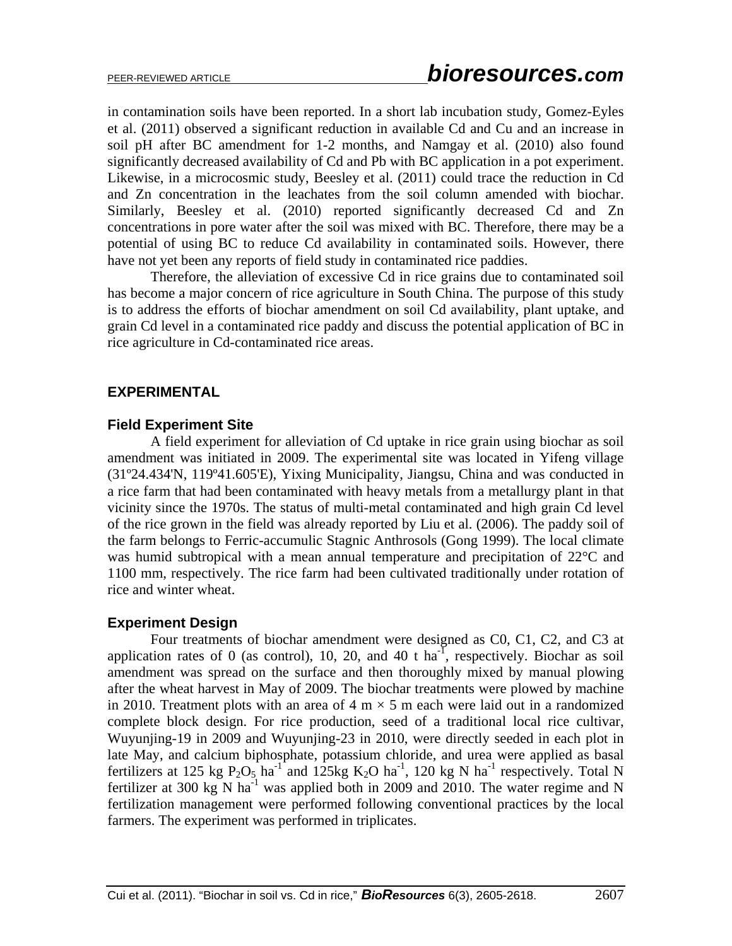in contamination soils have been reported. In a short lab incubation study, Gomez-Eyles et al. (2011) observed a significant reduction in available Cd and Cu and an increase in soil pH after BC amendment for 1-2 months, and Namgay et al. (2010) also found significantly decreased availability of Cd and Pb with BC application in a pot experiment. Likewise, in a microcosmic study, Beesley et al. (2011) could trace the reduction in Cd and Zn concentration in the leachates from the soil column amended with biochar. Similarly, Beesley et al. (2010) reported significantly decreased Cd and Zn concentrations in pore water after the soil was mixed with BC. Therefore, there may be a potential of using BC to reduce Cd availability in contaminated soils. However, there have not yet been any reports of field study in contaminated rice paddies.

Therefore, the alleviation of excessive Cd in rice grains due to contaminated soil has become a major concern of rice agriculture in South China. The purpose of this study is to address the efforts of biochar amendment on soil Cd availability, plant uptake, and grain Cd level in a contaminated rice paddy and discuss the potential application of BC in rice agriculture in Cd-contaminated rice areas.

#### **EXPERIMENTAL**

#### **Field Experiment Site**

 A field experiment for alleviation of Cd uptake in rice grain using biochar as soil amendment was initiated in 2009. The experimental site was located in Yifeng village (31º24.434'N, 119º41.605'E), Yixing Municipality, Jiangsu, China and was conducted in a rice farm that had been contaminated with heavy metals from a metallurgy plant in that vicinity since the 1970s. The status of multi-metal contaminated and high grain Cd level of the rice grown in the field was already reported by Liu et al. (2006). The paddy soil of the farm belongs to Ferric-accumulic Stagnic Anthrosols (Gong 1999). The local climate was humid subtropical with a mean annual temperature and precipitation of 22°C and 1100 mm, respectively. The rice farm had been cultivated traditionally under rotation of rice and winter wheat.

#### **Experiment Design**

 Four treatments of biochar amendment were designed as C0, C1, C2, and C3 at application rates of 0 (as control), 10, 20, and 40 t ha<sup>-1</sup>, respectively. Biochar as soil amendment was spread on the surface and then thoroughly mixed by manual plowing after the wheat harvest in May of 2009. The biochar treatments were plowed by machine in 2010. Treatment plots with an area of 4 m  $\times$  5 m each were laid out in a randomized complete block design. For rice production, seed of a traditional local rice cultivar, Wuyunjing-19 in 2009 and Wuyunjing-23 in 2010, were directly seeded in each plot in late May, and calcium biphosphate, potassium chloride, and urea were applied as basal fertilizers at 125 kg  $P_2O_5$  ha<sup>-1</sup> and 125kg K<sub>2</sub>O ha<sup>-1</sup>, 120 kg N ha<sup>-1</sup> respectively. Total N fertilizer at 300 kg N ha<sup>-1</sup> was applied both in 2009 and 2010. The water regime and N fertilization management were performed following conventional practices by the local farmers. The experiment was performed in triplicates.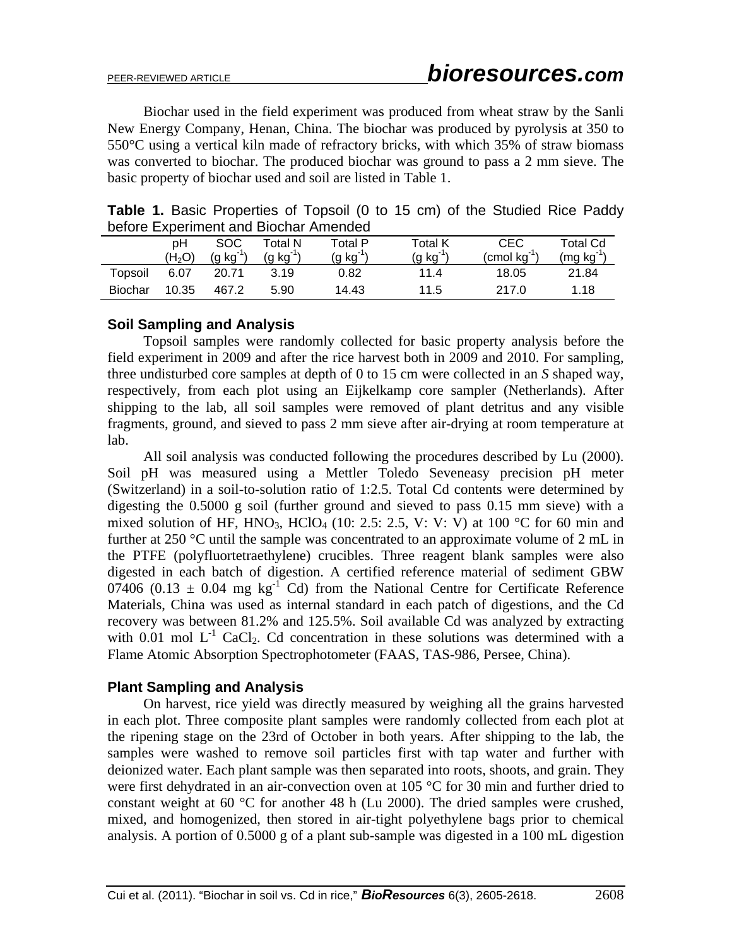Biochar used in the field experiment was produced from wheat straw by the Sanli New Energy Company, Henan, China. The biochar was produced by pyrolysis at 350 to 550°C using a vertical kiln made of refractory bricks, with which 35% of straw biomass was converted to biochar. The produced biochar was ground to pass a 2 mm sieve. The basic property of biochar used and soil are listed in Table 1.

|  | <b>Table 1.</b> Basic Properties of Topsoil (0 to 15 cm) of the Studied Rice Paddy |  |  |  |  |  |  |
|--|------------------------------------------------------------------------------------|--|--|--|--|--|--|
|  | before Experiment and Biochar Amended                                              |  |  |  |  |  |  |

| <b>Delvie Lapering in and Diverial America</b> |                    |          |            |            |            |                    |          |  |
|------------------------------------------------|--------------------|----------|------------|------------|------------|--------------------|----------|--|
|                                                | pН                 | SOC      | Total N    | Total P    | Total K    | CEC                | Total Cd |  |
|                                                | (H <sub>2</sub> O) | (g kg 1) | $(g kg-1)$ | $(g kg-1)$ | $(g kg-1)$ | $($ cmol $kg^{-1}$ | (mg kg)  |  |
| Topsoil                                        | 6.07               | 20.71    | 3.19       | 0.82       | 11.4       | 18.05              | 21.84    |  |
| Biochar                                        | 10.35              | 467.2    | 5.90       | 14.43      | 11.5       | 217 O              | 1.18     |  |

#### **Soil Sampling and Analysis**

Topsoil samples were randomly collected for basic property analysis before the field experiment in 2009 and after the rice harvest both in 2009 and 2010. For sampling, three undisturbed core samples at depth of 0 to 15 cm were collected in an *S* shaped way, respectively, from each plot using an Eijkelkamp core sampler (Netherlands). After shipping to the lab, all soil samples were removed of plant detritus and any visible fragments, ground, and sieved to pass 2 mm sieve after air-drying at room temperature at lab.

All soil analysis was conducted following the procedures described by Lu (2000). Soil pH was measured using a Mettler Toledo Seveneasy precision pH meter (Switzerland) in a soil-to-solution ratio of 1:2.5. Total Cd contents were determined by digesting the 0.5000 g soil (further ground and sieved to pass 0.15 mm sieve) with a mixed solution of HF, HNO<sub>3</sub>, HClO<sub>4</sub> (10: 2.5: 2.5, V: V: V) at 100 °C for 60 min and further at 250 °C until the sample was concentrated to an approximate volume of 2 mL in the PTFE (polyfluortetraethylene) crucibles. Three reagent blank samples were also digested in each batch of digestion. A certified reference material of sediment GBW 07406 (0.13  $\pm$  0.04 mg kg<sup>-1</sup> Cd) from the National Centre for Certificate Reference Materials, China was used as internal standard in each patch of digestions, and the Cd recovery was between 81.2% and 125.5%. Soil available Cd was analyzed by extracting with 0.01 mol  $L^{-1}$  CaCl<sub>2</sub>. Cd concentration in these solutions was determined with a Flame Atomic Absorption Spectrophotometer (FAAS, TAS-986, Persee, China).

#### **Plant Sampling and Analysis**

On harvest, rice yield was directly measured by weighing all the grains harvested in each plot. Three composite plant samples were randomly collected from each plot at the ripening stage on the 23rd of October in both years. After shipping to the lab, the samples were washed to remove soil particles first with tap water and further with deionized water. Each plant sample was then separated into roots, shoots, and grain. They were first dehydrated in an air-convection oven at 105 °C for 30 min and further dried to constant weight at 60 °C for another 48 h (Lu 2000). The dried samples were crushed, mixed, and homogenized, then stored in air-tight polyethylene bags prior to chemical analysis. A portion of 0.5000 g of a plant sub-sample was digested in a 100 mL digestion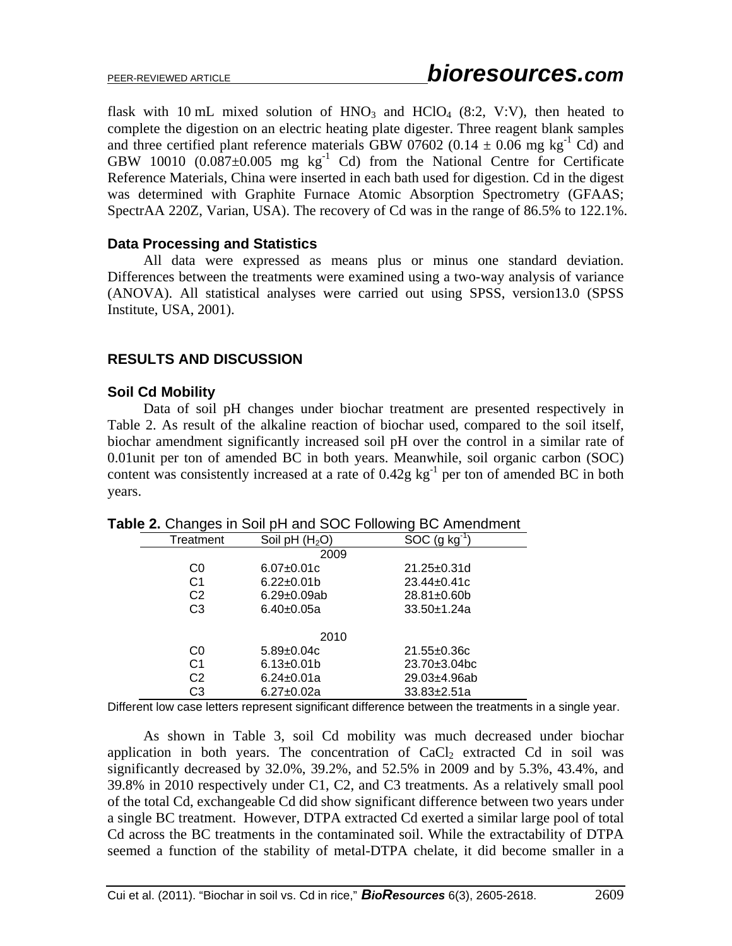flask with 10 mL mixed solution of  $HNO<sub>3</sub>$  and  $HClO<sub>4</sub>$  (8:2, V:V), then heated to complete the digestion on an electric heating plate digester. Three reagent blank samples and three certified plant reference materials GBW 07602 (0.14  $\pm$  0.06 mg kg<sup>-1</sup> Cd) and GBW 10010  $(0.087 \pm 0.005$  mg kg<sup>-1</sup> Cd) from the National Centre for Certificate Reference Materials, China were inserted in each bath used for digestion. Cd in the digest was determined with Graphite Furnace Atomic Absorption Spectrometry (GFAAS; SpectrAA 220Z, Varian, USA). The recovery of Cd was in the range of 86.5% to 122.1%.

## **Data Processing and Statistics**

All data were expressed as means plus or minus one standard deviation. Differences between the treatments were examined using a two-way analysis of variance (ANOVA). All statistical analyses were carried out using SPSS, version13.0 (SPSS Institute, USA, 2001).

## **RESULTS AND DISCUSSION**

## **Soil Cd Mobility**

Data of soil pH changes under biochar treatment are presented respectively in Table 2. As result of the alkaline reaction of biochar used, compared to the soil itself, biochar amendment significantly increased soil pH over the control in a similar rate of 0.01unit per ton of amended BC in both years. Meanwhile, soil organic carbon (SOC) content was consistently increased at a rate of  $0.42g$  kg<sup>-1</sup> per ton of amended BC in both years.

|                |                    | $\sim$ . $\sim$ . $\sim$ . $\sim$ . $\sim$ . $\sim$ . $\sim$ . $\sim$ . $\sim$ . $\sim$ . $\sim$ . $\sim$ . $\sim$ . $\sim$ . $\sim$ . $\sim$ . $\sim$ . $\sim$ . $\sim$ . $\sim$ . $\sim$ . $\sim$ . $\sim$ . $\sim$ . $\sim$ . $\sim$ . $\sim$ . $\sim$ . $\sim$ . $\sim$ . $\sim$ . $\sim$ |
|----------------|--------------------|-----------------------------------------------------------------------------------------------------------------------------------------------------------------------------------------------------------------------------------------------------------------------------------------------|
| Treatment      | Soil pH $(H2O)$    | SOC $(g kg^{-1})$                                                                                                                                                                                                                                                                             |
|                | 2009               |                                                                                                                                                                                                                                                                                               |
| C0             | $6.07 \pm 0.01c$   | $21.25 \pm 0.31$ d                                                                                                                                                                                                                                                                            |
| C1             | $6.22 \pm 0.01$    | $23.44 \pm 0.41c$                                                                                                                                                                                                                                                                             |
| C <sub>2</sub> | $6.29 \pm 0.09$ ab | $28.81 \pm 0.60$                                                                                                                                                                                                                                                                              |
| C3             | $6.40 \pm 0.05a$   | $33.50 + 1.24a$                                                                                                                                                                                                                                                                               |
|                |                    |                                                                                                                                                                                                                                                                                               |
|                | 2010               |                                                                                                                                                                                                                                                                                               |
| C0             | $5.89 \pm 0.04c$   | $21.55 \pm 0.36c$                                                                                                                                                                                                                                                                             |
| C1             | $6.13 \pm 0.01$    | $23.70 \pm 3.04$ bc                                                                                                                                                                                                                                                                           |
| C <sub>2</sub> | $6.24 \pm 0.01a$   | 29.03±4.96ab                                                                                                                                                                                                                                                                                  |
| CЗ             | $6.27 \pm 0.02a$   | $33.83 \pm 2.51a$                                                                                                                                                                                                                                                                             |

**Table 2.** Changes in Soil pH and SOC Following BC Amendment

Different low case letters represent significant difference between the treatments in a single year.

As shown in Table 3, soil Cd mobility was much decreased under biochar application in both years. The concentration of  $CaCl<sub>2</sub>$  extracted Cd in soil was significantly decreased by 32.0%, 39.2%, and 52.5% in 2009 and by 5.3%, 43.4%, and 39.8% in 2010 respectively under C1, C2, and C3 treatments. As a relatively small pool of the total Cd, exchangeable Cd did show significant difference between two years under a single BC treatment. However, DTPA extracted Cd exerted a similar large pool of total Cd across the BC treatments in the contaminated soil. While the extractability of DTPA seemed a function of the stability of metal-DTPA chelate, it did become smaller in a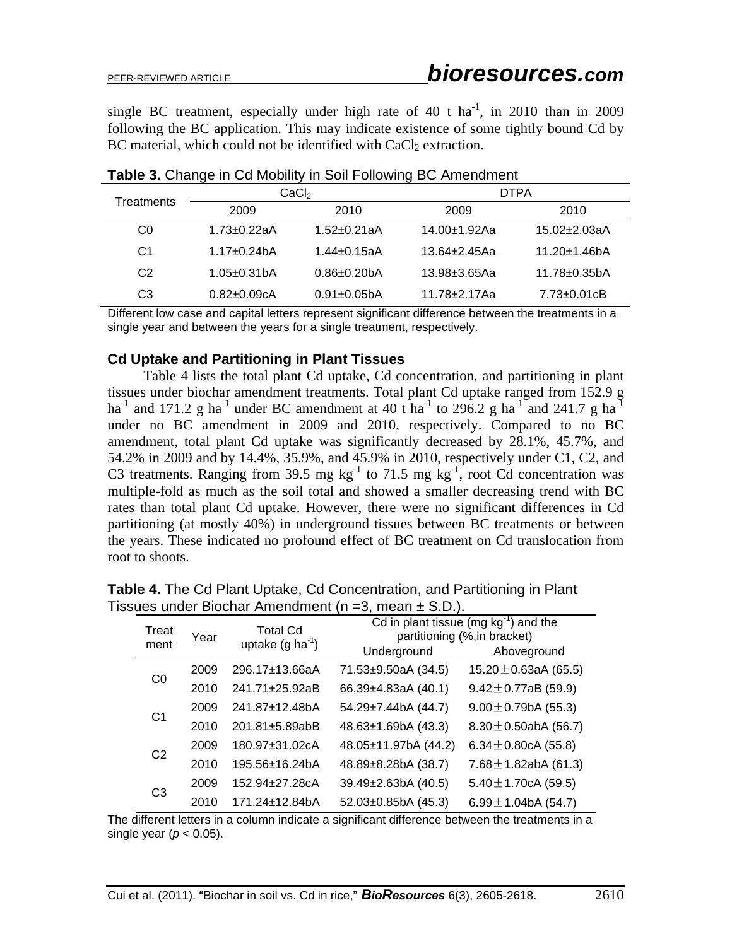single BC treatment, especially under high rate of 40 t ha<sup>-1</sup>, in 2010 than in 2009 following the BC application. This may indicate existence of some tightly bound Cd by BC material, which could not be identified with  $CaCl<sub>2</sub>$  extraction.

|                | ີ                  | CaCl <sub>2</sub>  | ີ<br><b>DTPA</b>  |                           |  |  |
|----------------|--------------------|--------------------|-------------------|---------------------------|--|--|
| Treatments     | 2009               | 2010               | 2009              | 2010                      |  |  |
| C0             | $1.73 \pm 0.22$ aA | $1.52 + 0.21aA$    | 14.00±1.92Aa      | 15.02±2.03aA              |  |  |
| C1             | $1.17 + 0.24$ bA   | $1.44 \pm 0.15$ aA | $13.64 + 2.45$ Aa | $11.20 + 1.46$ bA         |  |  |
| C <sub>2</sub> | $1.05 \pm 0.31$ bA | $0.86 + 0.20$ bA   | 13.98±3.65Aa      | $11.78 + 0.35$ bA         |  |  |
| CЗ             | $0.82 + 0.09cA$    | $0.91 \pm 0.05$ bA | 11.78±2.17Aa      | $7.73 \pm 0.01 \text{cB}$ |  |  |

**Table 3.** Change in Cd Mobility in Soil Following BC Amendment

Different low case and capital letters represent significant difference between the treatments in a single year and between the years for a single treatment, respectively.

#### **Cd Uptake and Partitioning in Plant Tissues**

Table 4 lists the total plant Cd uptake, Cd concentration, and partitioning in plant tissues under biochar amendment treatments. Total plant Cd uptake ranged from 152.9 g ha<sup>-1</sup> and 171.2 g ha<sup>-1</sup> under BC amendment at 40 t ha<sup>-1</sup> to 296.2 g ha<sup>-1</sup> and 241.7 g ha<sup>-1</sup> under no BC amendment in 2009 and 2010, respectively. Compared to no BC amendment, total plant Cd uptake was significantly decreased by 28.1%, 45.7%, and 54.2% in 2009 and by 14.4%, 35.9%, and 45.9% in 2010, respectively under C1, C2, and C3 treatments. Ranging from 39.5 mg kg<sup>-1</sup> to 71.5 mg kg<sup>-1</sup>, root Cd concentration was multiple-fold as much as the soil total and showed a smaller decreasing trend with BC rates than total plant Cd uptake. However, there were no significant differences in Cd partitioning (at mostly 40%) in underground tissues between BC treatments or between the years. These indicated no profound effect of BC treatment on Cd translocation from root to shoots.

| <b>Treat</b><br>ment |      | Year                  | <b>Total Cd</b><br>uptake $(g \text{ ha}^{-1})$ | Cd in plant tissue (mg $kg^{-1}$ ) and the<br>partitioning (%, in bracket) |                           |  |  |  |  |
|----------------------|------|-----------------------|-------------------------------------------------|----------------------------------------------------------------------------|---------------------------|--|--|--|--|
|                      |      |                       | Underground                                     | Aboveground                                                                |                           |  |  |  |  |
| CO                   | 2009 | 296.17±13.66aA        | 71.53±9.50aA (34.5)                             | 15.20 $\pm$ 0.63aA (65.5)                                                  |                           |  |  |  |  |
|                      |      | 2010                  | 241.71±25.92aB                                  | 66.39±4.83aA (40.1)                                                        | $9.42 \pm 0.77$ aB (59.9) |  |  |  |  |
| C <sub>1</sub>       | 2009 | 241.87±12.48bA        | 54.29±7.44bA (44.7)                             | $9.00 \pm 0.79$ bA (55.3)                                                  |                           |  |  |  |  |
|                      |      | 2010                  | 201.81±5.89abB                                  | 48.63±1.69bA (43.3)                                                        | 8.30 $\pm$ 0.50abA (56.7) |  |  |  |  |
| C <sub>2</sub>       | 2009 | 180.97±31.02cA        | 48.05±11.97bA (44.2)                            | 6.34 $\pm$ 0.80cA (55.8)                                                   |                           |  |  |  |  |
|                      |      | 2010                  | 195.56±16.24bA                                  | 48.89±8.28bA (38.7)                                                        | 7.68 $\pm$ 1.82abA (61.3) |  |  |  |  |
| C <sub>3</sub>       |      | 2009                  | 152.94±27.28cA                                  | 39.49±2.63bA (40.5)                                                        | $5.40 \pm 1.70$ cA (59.5) |  |  |  |  |
|                      | 2010 | $171.24 \pm 12.84$ bA | $52.03 \pm 0.85$ bA (45.3)                      | 6.99 $\pm$ 1.04bA (54.7)                                                   |                           |  |  |  |  |

**Table 4.** The Cd Plant Uptake, Cd Concentration, and Partitioning in Plant Tissues under Biochar Amendment ( $n = 3$ , mean  $\pm$  S.D.).

The different letters in a column indicate a significant difference between the treatments in a single year  $(p < 0.05)$ .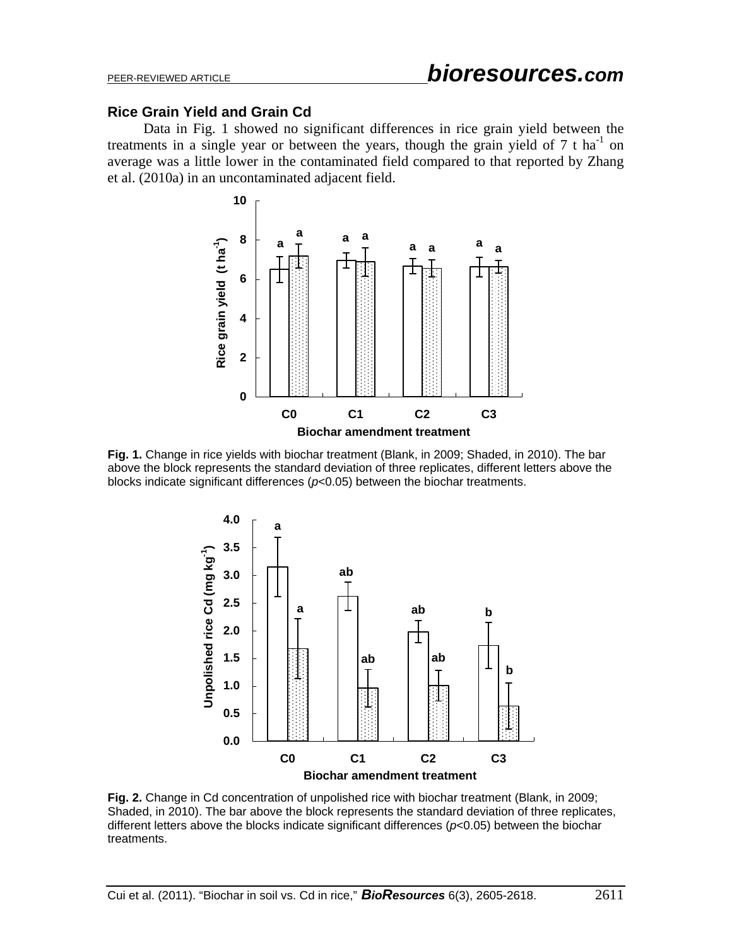#### **Rice Grain Yield and Grain Cd**

Data in Fig. 1 showed no significant differences in rice grain yield between the treatments in a single year or between the years, though the grain yield of  $7 \text{ t} \text{ ha}^{-1}$  on average was a little lower in the contaminated field compared to that reported by Zhang et al. (2010a) in an uncontaminated adjacent field.



**Fig. 1.** Change in rice yields with biochar treatment (Blank, in 2009; Shaded, in 2010). The bar above the block represents the standard deviation of three replicates, different letters above the blocks indicate significant differences (*p*<0.05) between the biochar treatments.



**Fig. 2.** Change in Cd concentration of unpolished rice with biochar treatment (Blank, in 2009; Shaded, in 2010). The bar above the block represents the standard deviation of three replicates, different letters above the blocks indicate significant differences (*p*<0.05) between the biochar treatments.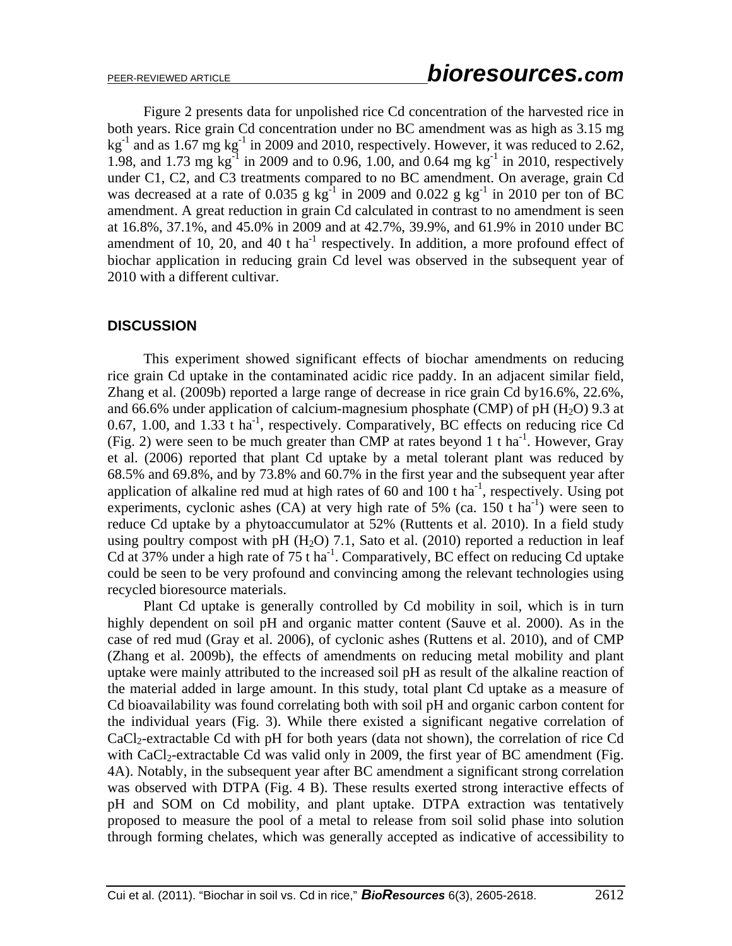Figure 2 presents data for unpolished rice Cd concentration of the harvested rice in both years. Rice grain Cd concentration under no BC amendment was as high as 3.15 mg  $kg<sup>-1</sup>$  and as 1.67 mg kg<sup>-1</sup> in 2009 and 2010, respectively. However, it was reduced to 2.62, 1.98, and 1.73 mg kg<sup>-1</sup> in 2009 and to 0.96, 1.00, and 0.64 mg kg<sup>-1</sup> in 2010, respectively under C1, C2, and C3 treatments compared to no BC amendment. On average, grain Cd was decreased at a rate of 0.035 g  $kg^{-1}$  in 2009 and 0.022 g  $kg^{-1}$  in 2010 per ton of BC amendment. A great reduction in grain Cd calculated in contrast to no amendment is seen at 16.8%, 37.1%, and 45.0% in 2009 and at 42.7%, 39.9%, and 61.9% in 2010 under BC amendment of 10, 20, and 40 t ha<sup>-1</sup> respectively. In addition, a more profound effect of biochar application in reducing grain Cd level was observed in the subsequent year of 2010 with a different cultivar.

## **DISCUSSION**

This experiment showed significant effects of biochar amendments on reducing rice grain Cd uptake in the contaminated acidic rice paddy. In an adjacent similar field, Zhang et al. (2009b) reported a large range of decrease in rice grain Cd by16.6%, 22.6%, and 66.6% under application of calcium-magnesium phosphate (CMP) of pH  $(H<sub>2</sub>O)$  9.3 at 0.67, 1.00, and 1.33 t ha<sup>-1</sup>, respectively. Comparatively, BC effects on reducing rice Cd (Fig. 2) were seen to be much greater than CMP at rates beyond 1 t ha<sup>-1</sup>. However, Gray et al. (2006) reported that plant Cd uptake by a metal tolerant plant was reduced by 68.5% and 69.8%, and by 73.8% and 60.7% in the first year and the subsequent year after application of alkaline red mud at high rates of 60 and 100 t ha<sup>-1</sup>, respectively. Using pot experiments, cyclonic ashes  $(CA)$  at very high rate of 5%  $(ca. 150<sup>-1</sup>)$  were seen to reduce Cd uptake by a phytoaccumulator at 52% (Ruttents et al. 2010). In a field study using poultry compost with pH  $(H<sub>2</sub>O)$  7.1, Sato et al. (2010) reported a reduction in leaf Cd at 37% under a high rate of 75 t ha<sup>-1</sup>. Comparatively, BC effect on reducing Cd uptake could be seen to be very profound and convincing among the relevant technologies using recycled bioresource materials.

Plant Cd uptake is generally controlled by Cd mobility in soil, which is in turn highly dependent on soil pH and organic matter content (Sauve et al. 2000). As in the case of red mud (Gray et al. 2006), of cyclonic ashes (Ruttens et al. 2010), and of CMP (Zhang et al. 2009b), the effects of amendments on reducing metal mobility and plant uptake were mainly attributed to the increased soil pH as result of the alkaline reaction of the material added in large amount. In this study, total plant Cd uptake as a measure of Cd bioavailability was found correlating both with soil pH and organic carbon content for the individual years (Fig. 3). While there existed a significant negative correlation of CaCl2-extractable Cd with pH for both years (data not shown), the correlation of rice Cd with CaCl<sub>2</sub>-extractable Cd was valid only in 2009, the first year of BC amendment (Fig. 4A). Notably, in the subsequent year after BC amendment a significant strong correlation was observed with DTPA (Fig. 4 B). These results exerted strong interactive effects of pH and SOM on Cd mobility, and plant uptake. DTPA extraction was tentatively proposed to measure the pool of a metal to release from soil solid phase into solution through forming chelates, which was generally accepted as indicative of accessibility to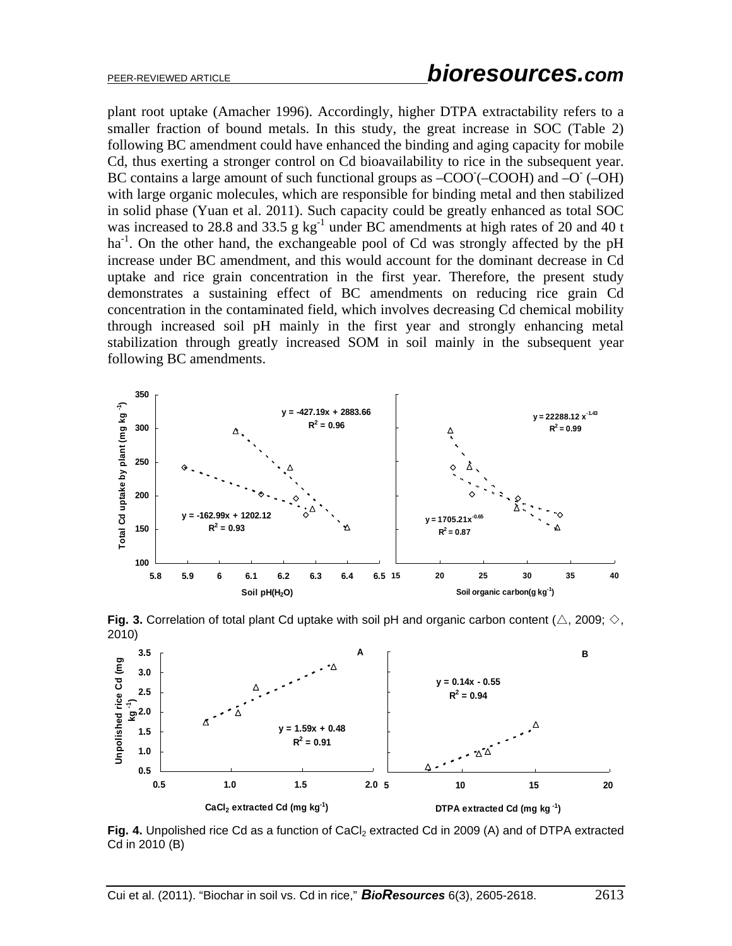plant root uptake (Amacher 1996). Accordingly, higher DTPA extractability refers to a smaller fraction of bound metals. In this study, the great increase in SOC (Table 2) following BC amendment could have enhanced the binding and aging capacity for mobile Cd, thus exerting a stronger control on Cd bioavailability to rice in the subsequent year. BC contains a large amount of such functional groups as  $-COO$  ( $-COOH$ ) and  $-O$  ( $-OH$ ) with large organic molecules, which are responsible for binding metal and then stabilized in solid phase (Yuan et al. 2011). Such capacity could be greatly enhanced as total SOC was increased to 28.8 and 33.5 g  $kg^{-1}$  under BC amendments at high rates of 20 and 40 t  $ha^{-1}$ . On the other hand, the exchangeable pool of Cd was strongly affected by the pH increase under BC amendment, and this would account for the dominant decrease in Cd uptake and rice grain concentration in the first year. Therefore, the present study demonstrates a sustaining effect of BC amendments on reducing rice grain Cd concentration in the contaminated field, which involves decreasing Cd chemical mobility through increased soil pH mainly in the first year and strongly enhancing metal stabilization through greatly increased SOM in soil mainly in the subsequent year following BC amendments.







Fig. 4. Unpolished rice Cd as a function of CaCl<sub>2</sub> extracted Cd in 2009 (A) and of DTPA extracted Cd in 2010 (B)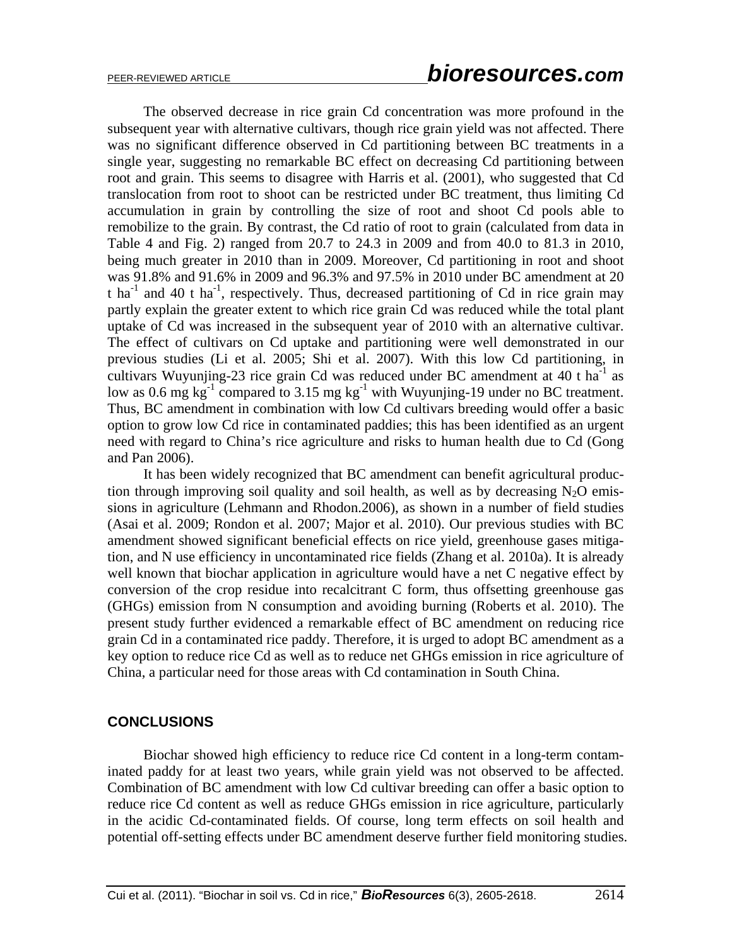The observed decrease in rice grain Cd concentration was more profound in the subsequent year with alternative cultivars, though rice grain yield was not affected. There was no significant difference observed in Cd partitioning between BC treatments in a single year, suggesting no remarkable BC effect on decreasing Cd partitioning between root and grain. This seems to disagree with Harris et al. (2001), who suggested that Cd translocation from root to shoot can be restricted under BC treatment, thus limiting Cd accumulation in grain by controlling the size of root and shoot Cd pools able to remobilize to the grain. By contrast, the Cd ratio of root to grain (calculated from data in Table 4 and Fig. 2) ranged from 20.7 to 24.3 in 2009 and from 40.0 to 81.3 in 2010, being much greater in 2010 than in 2009. Moreover, Cd partitioning in root and shoot was 91.8% and 91.6% in 2009 and 96.3% and 97.5% in 2010 under BC amendment at 20 t ha<sup>-1</sup> and 40 t ha<sup>-1</sup>, respectively. Thus, decreased partitioning of Cd in rice grain may partly explain the greater extent to which rice grain Cd was reduced while the total plant uptake of Cd was increased in the subsequent year of 2010 with an alternative cultivar. The effect of cultivars on Cd uptake and partitioning were well demonstrated in our previous studies (Li et al. 2005; Shi et al. 2007). With this low Cd partitioning, in cultivars Wuyunjing-23 rice grain Cd was reduced under BC amendment at  $40$  t ha<sup>-1</sup> as low as 0.6 mg kg<sup>-1</sup> compared to 3.15 mg kg<sup>-1</sup> with Wuyunjing-19 under no BC treatment. Thus, BC amendment in combination with low Cd cultivars breeding would offer a basic option to grow low Cd rice in contaminated paddies; this has been identified as an urgent need with regard to China's rice agriculture and risks to human health due to Cd (Gong and Pan 2006).

It has been widely recognized that BC amendment can benefit agricultural production through improving soil quality and soil health, as well as by decreasing  $N_2O$  emissions in agriculture (Lehmann and Rhodon.2006), as shown in a number of field studies (Asai et al. 2009; Rondon et al. 2007; Major et al. 2010). Our previous studies with BC amendment showed significant beneficial effects on rice yield, greenhouse gases mitigation, and N use efficiency in uncontaminated rice fields (Zhang et al. 2010a). It is already well known that biochar application in agriculture would have a net C negative effect by conversion of the crop residue into recalcitrant C form, thus offsetting greenhouse gas (GHGs) emission from N consumption and avoiding burning (Roberts et al. 2010). The present study further evidenced a remarkable effect of BC amendment on reducing rice grain Cd in a contaminated rice paddy. Therefore, it is urged to adopt BC amendment as a key option to reduce rice Cd as well as to reduce net GHGs emission in rice agriculture of China, a particular need for those areas with Cd contamination in South China.

## **CONCLUSIONS**

Biochar showed high efficiency to reduce rice Cd content in a long-term contaminated paddy for at least two years, while grain yield was not observed to be affected. Combination of BC amendment with low Cd cultivar breeding can offer a basic option to reduce rice Cd content as well as reduce GHGs emission in rice agriculture, particularly in the acidic Cd-contaminated fields. Of course, long term effects on soil health and potential off-setting effects under BC amendment deserve further field monitoring studies.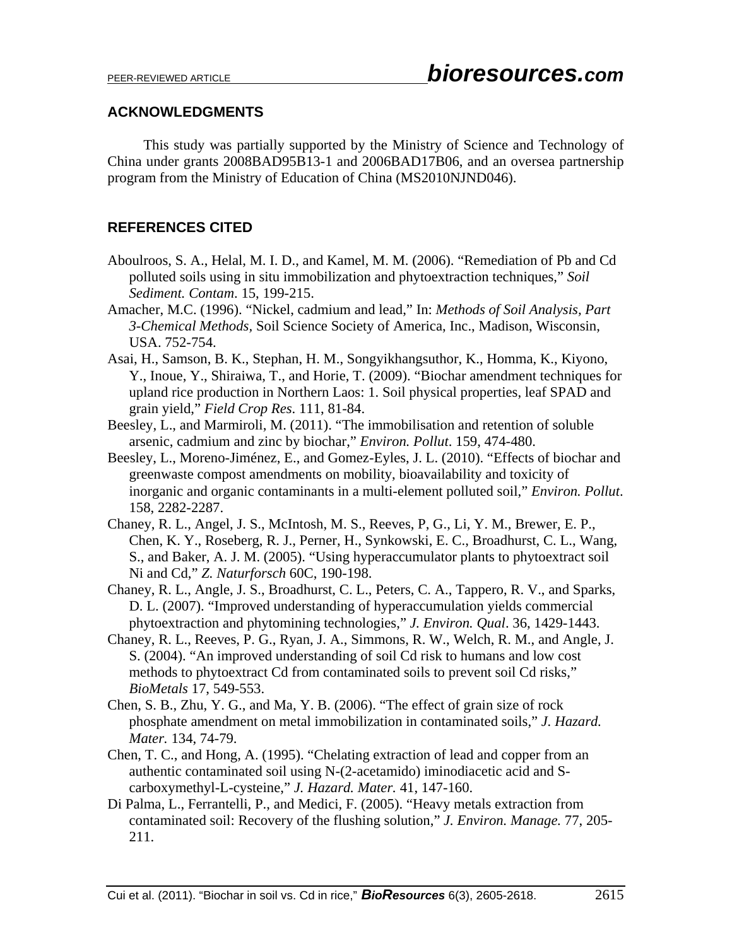#### **ACKNOWLEDGMENTS**

This study was partially supported by the Ministry of Science and Technology of China under grants 2008BAD95B13-1 and 2006BAD17B06, and an oversea partnership program from the Ministry of Education of China (MS2010NJND046).

# **REFERENCES CITED**

- Aboulroos, S. A., Helal, M. I. D., and Kamel, M. M. (2006). "Remediation of Pb and Cd polluted soils using in situ immobilization and phytoextraction techniques," *Soil Sediment. Contam*. 15, 199-215.
- Amacher, M.C. (1996). "Nickel, cadmium and lead," In: *Methods of Soil Analysis, Part 3-Chemical Methods,* Soil Science Society of America, Inc., Madison, Wisconsin, USA. 752-754.
- Asai, H., Samson, B. K., Stephan, H. M., Songyikhangsuthor, K., Homma, K., Kiyono, Y., Inoue, Y., Shiraiwa, T., and Horie, T. (2009). "Biochar amendment techniques for upland rice production in Northern Laos: 1. Soil physical properties, leaf SPAD and grain yield," *Field Crop Res*. 111, 81-84.
- Beesley, L., and Marmiroli, M. (2011). "The immobilisation and retention of soluble arsenic, cadmium and zinc by biochar," *Environ. Pollut*. 159, 474-480.
- Beesley, L., Moreno-Jiménez, E., and Gomez-Eyles, J. L. (2010). "Effects of biochar and greenwaste compost amendments on mobility, bioavailability and toxicity of inorganic and organic contaminants in a multi-element polluted soil," *Environ. Pollut*. 158, 2282-2287.
- Chaney, R. L., Angel, J. S., McIntosh, M. S., Reeves, P, G., Li, Y. M., Brewer, E. P., Chen, K. Y., Roseberg, R. J., Perner, H., Synkowski, E. C., Broadhurst, C. L., Wang, S., and Baker, A. J. M. (2005). "Using hyperaccumulator plants to phytoextract soil Ni and Cd," *Z. Naturforsch* 60C, 190-198.
- Chaney, R. L., Angle, J. S., Broadhurst, C. L., Peters, C. A., Tappero, R. V., and Sparks, D. L. (2007). "Improved understanding of hyperaccumulation yields commercial phytoextraction and phytomining technologies," *J. Environ. Qual*. 36, 1429-1443.
- Chaney, R. L., Reeves, P. G., Ryan, J. A., Simmons, R. W., Welch, R. M., and Angle, J. S. (2004). "An improved understanding of soil Cd risk to humans and low cost methods to phytoextract Cd from contaminated soils to prevent soil Cd risks," *BioMetals* 17, 549-553.
- Chen, S. B., Zhu, Y. G., and Ma, Y. B. (2006). "The effect of grain size of rock phosphate amendment on metal immobilization in contaminated soils," *J. Hazard. Mater.* 134, 74-79.
- Chen, T. C., and Hong, A. (1995). "Chelating extraction of lead and copper from an authentic contaminated soil using N-(2-acetamido) iminodiacetic acid and Scarboxymethyl-L-cysteine," *J. Hazard. Mater.* 41, 147-160.
- Di Palma, L., Ferrantelli, P., and Medici, F. (2005). "Heavy metals extraction from contaminated soil: Recovery of the flushing solution," *J. Environ. Manage.* 77, 205- 211.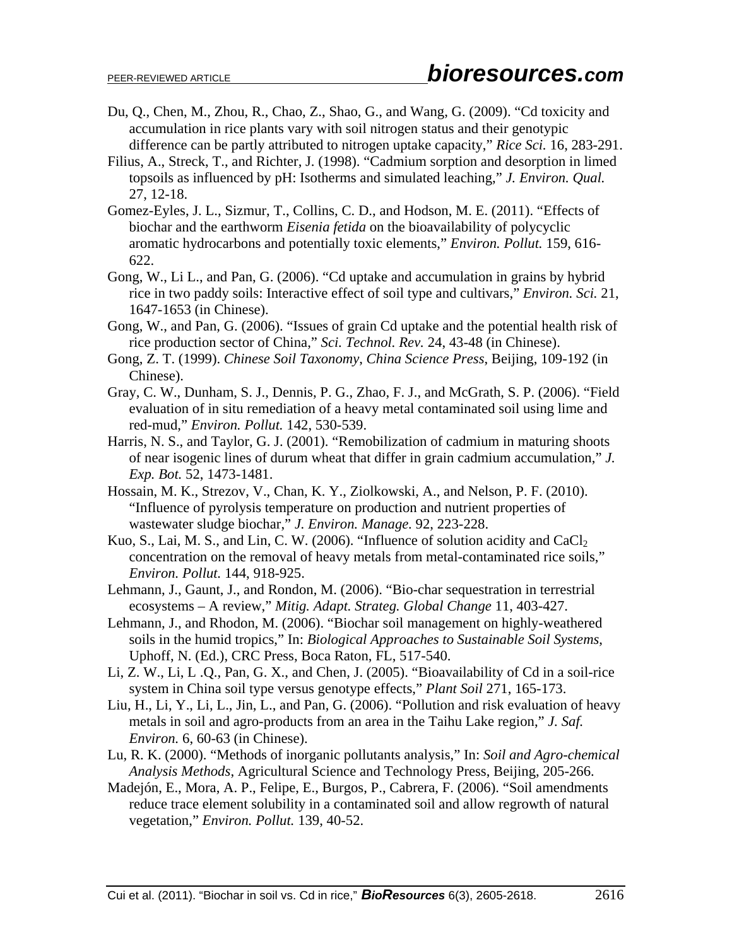- Du, Q., Chen, M., Zhou, R., Chao, Z., Shao, G., and Wang, G. (2009). "Cd toxicity and accumulation in rice plants vary with soil nitrogen status and their genotypic difference can be partly attributed to nitrogen uptake capacity," *Rice Sci.* 16, 283-291.
- Filius, A., Streck, T., and Richter, J. (1998). "Cadmium sorption and desorption in limed topsoils as influenced by pH: Isotherms and simulated leaching," *J. Environ. Qual.* 27, 12-18.
- Gomez-Eyles, J. L., Sizmur, T., Collins, C. D., and Hodson, M. E. (2011). "Effects of biochar and the earthworm *Eisenia fetida* on the bioavailability of polycyclic aromatic hydrocarbons and potentially toxic elements," *Environ. Pollut.* 159, 616- 622.
- Gong, W., Li L., and Pan, G. (2006). "Cd uptake and accumulation in grains by hybrid rice in two paddy soils: Interactive effect of soil type and cultivars," *Environ. Sci.* 21, 1647-1653 (in Chinese).
- Gong, W., and Pan, G. (2006). "Issues of grain Cd uptake and the potential health risk of rice production sector of China," *Sci. Technol. Rev.* 24, 43-48 (in Chinese).
- Gong, Z. T. (1999). *Chinese Soil Taxonomy*, *China Science Press*, Beijing, 109-192 (in Chinese).
- Gray, C. W., Dunham, S. J., Dennis, P. G., Zhao, F. J., and McGrath, S. P. (2006). "Field evaluation of in situ remediation of a heavy metal contaminated soil using lime and red-mud," *Environ. Pollut.* 142, 530-539.
- Harris, N. S., and Taylor, G. J. (2001). "Remobilization of cadmium in maturing shoots of near isogenic lines of durum wheat that differ in grain cadmium accumulation," *J. Exp. Bot.* 52, 1473-1481.
- Hossain, M. K., Strezov, V., Chan, K. Y., Ziolkowski, A., and Nelson, P. F. (2010). "Influence of pyrolysis temperature on production and nutrient properties of wastewater sludge biochar," *J. Environ. Manage.* 92, 223-228.
- Kuo, S., Lai, M. S., and Lin, C. W. (2006). "Influence of solution acidity and  $CaCl<sub>2</sub>$ concentration on the removal of heavy metals from metal-contaminated rice soils," *Environ. Pollut.* 144, 918-925.
- Lehmann, J., Gaunt, J., and Rondon, M. (2006). "Bio-char sequestration in terrestrial ecosystems – A review," *Mitig. Adapt. Strateg. Global Change* 11, 403-427.
- Lehmann, J., and Rhodon, M. (2006). "Biochar soil management on highly-weathered soils in the humid tropics," In: *Biological Approaches to Sustainable Soil Systems*, Uphoff, N. (Ed.), CRC Press, Boca Raton, FL, 517-540.
- Li, Z. W., Li, L .Q., Pan, G. X., and Chen, J. (2005). "Bioavailability of Cd in a soil-rice system in China soil type versus genotype effects," *Plant Soil* 271, 165-173.
- Liu, H., Li, Y., Li, L., Jin, L., and Pan, G. (2006). "Pollution and risk evaluation of heavy metals in soil and agro-products from an area in the Taihu Lake region," *J. Saf. Environ.* 6, 60-63 (in Chinese).
- Lu, R. K. (2000). "Methods of inorganic pollutants analysis," In: *Soil and Agro-chemical Analysis Methods*, Agricultural Science and Technology Press, Beijing, 205-266.
- Madejón, E., Mora, A. P., Felipe, E., Burgos, P., Cabrera, F. (2006). "Soil amendments reduce trace element solubility in a contaminated soil and allow regrowth of natural vegetation," *Environ. Pollut.* 139, 40-52.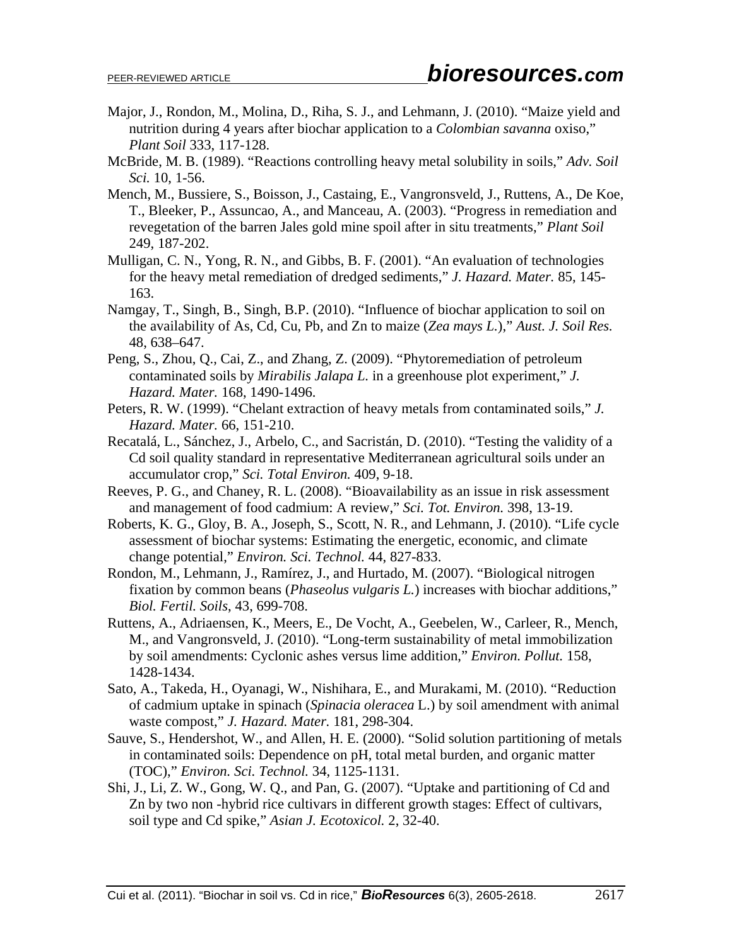- Major, J., Rondon, M., Molina, D., Riha, S. J., and Lehmann, J. (2010). "Maize yield and nutrition during 4 years after biochar application to a *Colombian savanna* oxiso," *Plant Soil* 333, 117-128.
- McBride, M. B. (1989). "Reactions controlling heavy metal solubility in soils," *Adv. Soil Sci.* 10, 1-56.
- Mench, M., Bussiere, S., Boisson, J., Castaing, E., Vangronsveld, J., Ruttens, A., De Koe, T., Bleeker, P., Assuncao, A., and Manceau, A. (2003). "Progress in remediation and revegetation of the barren Jales gold mine spoil after in situ treatments," *Plant Soil* 249, 187-202.
- Mulligan, C. N., Yong, R. N., and Gibbs, B. F. (2001). "An evaluation of technologies for the heavy metal remediation of dredged sediments," *J. Hazard. Mater.* 85, 145- 163.
- Namgay, T., Singh, B., Singh, B.P. (2010). "Influence of biochar application to soil on the availability of As, Cd, Cu, Pb, and Zn to maize (*Zea mays L.*)," *Aust. J. Soil Res.* 48, 638–647.
- Peng, S., Zhou, Q., Cai, Z., and Zhang, Z. (2009). "Phytoremediation of petroleum contaminated soils by *Mirabilis Jalapa L.* in a greenhouse plot experiment," *J. Hazard. Mater.* 168, 1490-1496.
- Peters, R. W. (1999). "Chelant extraction of heavy metals from contaminated soils," *J. Hazard. Mater.* 66, 151-210.
- Recatalá, L., Sánchez, J., Arbelo, C., and Sacristán, D. (2010). "Testing the validity of a Cd soil quality standard in representative Mediterranean agricultural soils under an accumulator crop," *Sci. Total Environ.* 409, 9-18.
- Reeves, P. G., and Chaney, R. L. (2008). "Bioavailability as an issue in risk assessment and management of food cadmium: A review," *Sci. Tot. Environ.* 398, 13-19.
- Roberts, K. G., Gloy, B. A., Joseph, S., Scott, N. R., and Lehmann, J. (2010). "Life cycle assessment of biochar systems: Estimating the energetic, economic, and climate change potential," *Environ. Sci. Technol.* 44, 827-833.
- Rondon, M., Lehmann, J., Ramírez, J., and Hurtado, M. (2007). "Biological nitrogen fixation by common beans (*Phaseolus vulgaris L.*) increases with biochar additions," *Biol. Fertil. Soils*, 43, 699-708.
- Ruttens, A., Adriaensen, K., Meers, E., De Vocht, A., Geebelen, W., Carleer, R., Mench, M., and Vangronsveld, J. (2010). "Long-term sustainability of metal immobilization by soil amendments: Cyclonic ashes versus lime addition," *Environ. Pollut.* 158, 1428-1434.
- Sato, A., Takeda, H., Oyanagi, W., Nishihara, E., and Murakami, M. (2010). "Reduction of cadmium uptake in spinach (*Spinacia oleracea* L.) by soil amendment with animal waste compost," *J. Hazard. Mater.* 181, 298-304.
- Sauve, S., Hendershot, W., and Allen, H. E. (2000). "Solid solution partitioning of metals in contaminated soils: Dependence on pH, total metal burden, and organic matter (TOC)," *Environ. Sci. Technol.* 34, 1125-1131.
- Shi, J., Li, Z. W., Gong, W. Q., and Pan, G. (2007). "Uptake and partitioning of Cd and Zn by two non -hybrid rice cultivars in different growth stages: Effect of cultivars, soil type and Cd spike," *Asian J. Ecotoxicol.* 2, 32-40.